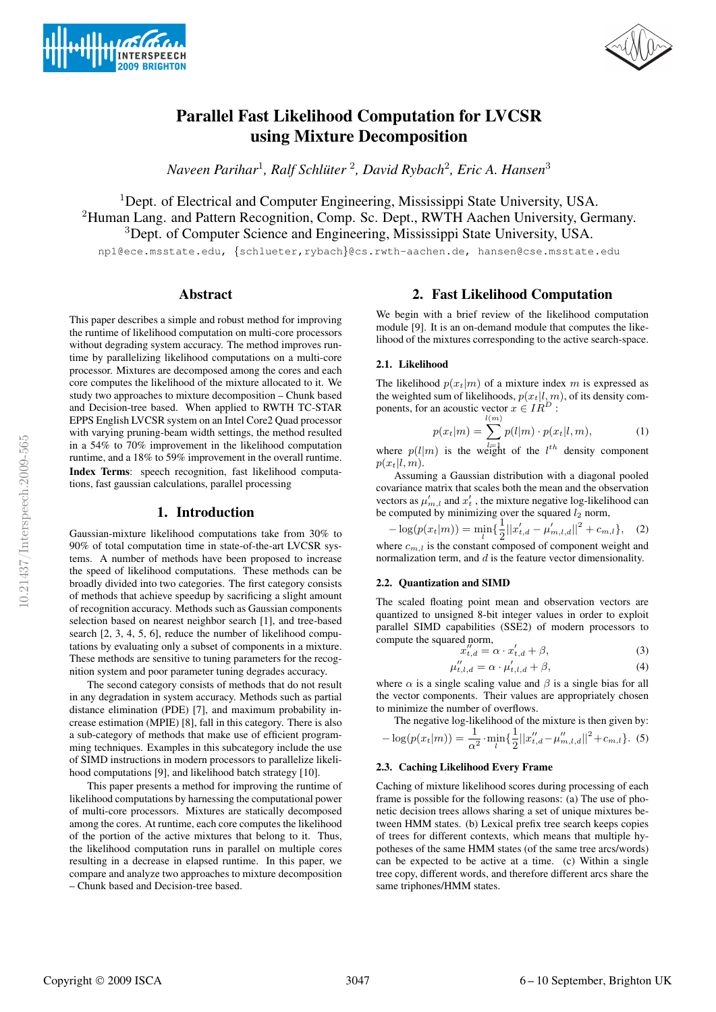



# Parallel Fast Likelihood Computation for LVCSR using Mixture Decomposition

*Naveen Parihar*<sup>1</sup> *, Ralf Schluter ¨* 2 *, David Rybach*<sup>2</sup> *, Eric A. Hansen*<sup>3</sup>

<sup>1</sup>Dept. of Electrical and Computer Engineering, Mississippi State University, USA. <sup>2</sup>Human Lang. and Pattern Recognition, Comp. Sc. Dept., RWTH Aachen University, Germany. <sup>3</sup>Dept. of Computer Science and Engineering, Mississippi State University, USA.

np1@ece.msstate.edu, {schlueter,rybach}@cs.rwth-aachen.de, hansen@cse.msstate.edu

# Abstract

This paper describes a simple and robust method for improving the runtime of likelihood computation on multi-core processors without degrading system accuracy. The method improves runtime by parallelizing likelihood computations on a multi-core processor. Mixtures are decomposed among the cores and each core computes the likelihood of the mixture allocated to it. We study two approaches to mixture decomposition – Chunk based and Decision-tree based. When applied to RWTH TC-STAR EPPS English LVCSR system on an Intel Core2 Quad processor with varying pruning-beam width settings, the method resulted in a 54% to 70% improvement in the likelihood computation runtime, and a 18% to 59% improvement in the overall runtime. Index Terms: speech recognition, fast likelihood computations, fast gaussian calculations, parallel processing

## 1. Introduction

Gaussian-mixture likelihood computations take from 30% to 90% of total computation time in state-of-the-art LVCSR systems. A number of methods have been proposed to increase the speed of likelihood computations. These methods can be broadly divided into two categories. The first category consists of methods that achieve speedup by sacrificing a slight amount of recognition accuracy. Methods such as Gaussian components selection based on nearest neighbor search [1], and tree-based search [2, 3, 4, 5, 6], reduce the number of likelihood computations by evaluating only a subset of components in a mixture. These methods are sensitive to tuning parameters for the recognition system and poor parameter tuning degrades accuracy.

The second category consists of methods that do not result in any degradation in system accuracy. Methods such as partial distance elimination (PDE) [7], and maximum probability increase estimation (MPIE) [8], fall in this category. There is also a sub-category of methods that make use of efficient programming techniques. Examples in this subcategory include the use of SIMD instructions in modern processors to parallelize likelihood computations [9], and likelihood batch strategy [10].

This paper presents a method for improving the runtime of likelihood computations by harnessing the computational power of multi-core processors. Mixtures are statically decomposed among the cores. At runtime, each core computes the likelihood of the portion of the active mixtures that belong to it. Thus, the likelihood computation runs in parallel on multiple cores resulting in a decrease in elapsed runtime. In this paper, we compare and analyze two approaches to mixture decomposition – Chunk based and Decision-tree based.

# 2. Fast Likelihood Computation

We begin with a brief review of the likelihood computation module [9]. It is an on-demand module that computes the likelihood of the mixtures corresponding to the active search-space.

#### 2.1. Likelihood

The likelihood  $p(x_t|m)$  of a mixture index m is expressed as the weighted sum of likelihoods,  $p(x_t|l, m)$ , of its density components, for an acoustic vector  $x \in IR^D$ :

$$
p(x_t|m) = \sum_{l=1}^{l(m)} p(l|m) \cdot p(x_t|l, m),
$$
 (1)

where  $p(l|m)$  is the weight of the  $l^{th}$  density component  $p(x_t|l, m)$ .

Assuming a Gaussian distribution with a diagonal pooled covariance matrix that scales both the mean and the observation vectors as  $\mu'_{m,l}$  and  $x'_{t}$ , the mixture negative log-likelihood can be computed by minimizing over the squared  $l_2$  norm,

$$
-\log(p(x_t|m)) = \min_{l} \left\{ \frac{1}{2} ||x'_{t,d} - \mu'_{m,l,d}||^2 + c_{m,l} \right\}, \quad (2)
$$

where  $c_{m,l}$  is the constant composed of component weight and normalization term, and d is the feature vector dimensionality.

#### 2.2. Quantization and SIMD

The scaled floating point mean and observation vectors are quantized to unsigned 8-bit integer values in order to exploit parallel SIMD capabilities (SSE2) of modern processors to compute the squared norm,

$$
x_{t,d}^{\prime\prime} = \alpha \cdot x_{t,d}^{\prime} + \beta,\tag{3}
$$

$$
\mu_{t,l,d}^{\prime\prime} = \alpha \cdot \mu_{t,l,d}^{\prime} + \beta,\tag{4}
$$

where  $\alpha$  is a single scaling value and  $\beta$  is a single bias for all the vector components. Their values are appropriately chosen to minimize the number of overflows.

The negative log-likelihood of the mixture is then given by:  
- 
$$
\log(p(x_t|m)) = \frac{1}{\alpha^2} \cdot \min_l \left\{ \frac{1}{2} ||x''_{t,d} - \mu''_{m,l,d}||^2 + c_{m,l} \right\}
$$
. (5)

#### 2.3. Caching Likelihood Every Frame

Caching of mixture likelihood scores during processing of each frame is possible for the following reasons: (a) The use of phonetic decision trees allows sharing a set of unique mixtures between HMM states. (b) Lexical prefix tree search keeps copies of trees for different contexts, which means that multiple hypotheses of the same HMM states (of the same tree arcs/words) can be expected to be active at a time. (c) Within a single tree copy, different words, and therefore different arcs share the same triphones/HMM states.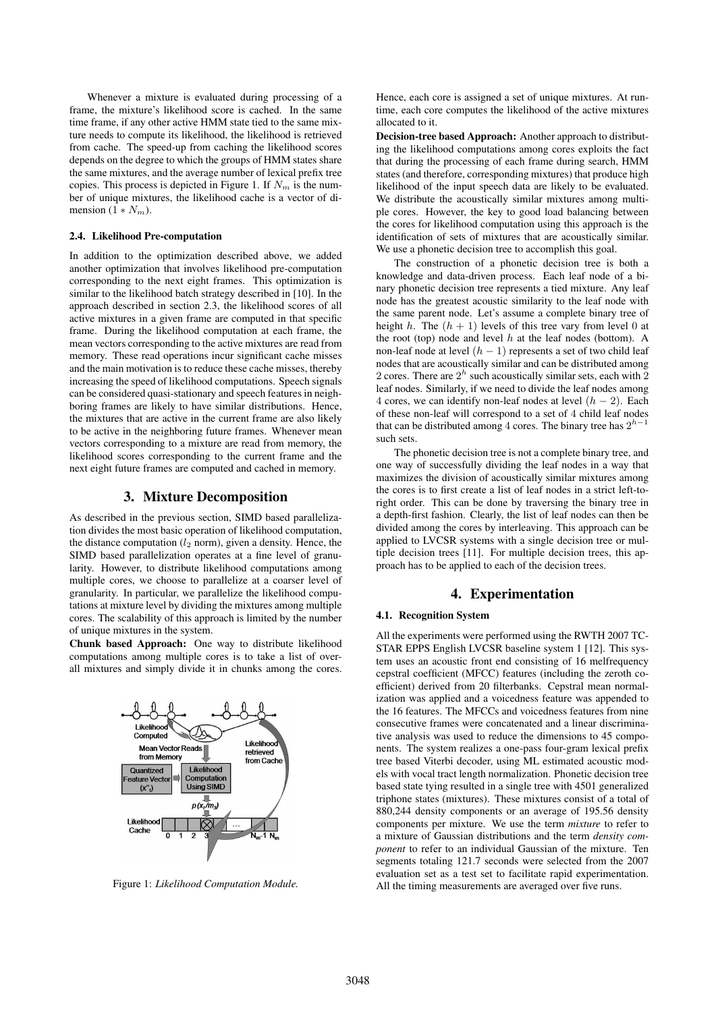Whenever a mixture is evaluated during processing of a frame, the mixture's likelihood score is cached. In the same time frame, if any other active HMM state tied to the same mixture needs to compute its likelihood, the likelihood is retrieved from cache. The speed-up from caching the likelihood scores depends on the degree to which the groups of HMM states share the same mixtures, and the average number of lexical prefix tree copies. This process is depicted in Figure 1. If  $N_m$  is the number of unique mixtures, the likelihood cache is a vector of dimension  $(1*N_m)$ .

#### 2.4. Likelihood Pre-computation

In addition to the optimization described above, we added another optimization that involves likelihood pre-computation corresponding to the next eight frames. This optimization is similar to the likelihood batch strategy described in [10]. In the approach described in section 2.3, the likelihood scores of all active mixtures in a given frame are computed in that specific frame. During the likelihood computation at each frame, the mean vectors corresponding to the active mixtures are read from memory. These read operations incur significant cache misses and the main motivation is to reduce these cache misses, thereby increasing the speed of likelihood computations. Speech signals can be considered quasi-stationary and speech features in neighboring frames are likely to have similar distributions. Hence, the mixtures that are active in the current frame are also likely to be active in the neighboring future frames. Whenever mean vectors corresponding to a mixture are read from memory, the likelihood scores corresponding to the current frame and the next eight future frames are computed and cached in memory.

## 3. Mixture Decomposition

As described in the previous section, SIMD based parallelization divides the most basic operation of likelihood computation, the distance computation  $(l_2 \text{ norm})$ , given a density. Hence, the SIMD based parallelization operates at a fine level of granularity. However, to distribute likelihood computations among multiple cores, we choose to parallelize at a coarser level of granularity. In particular, we parallelize the likelihood computations at mixture level by dividing the mixtures among multiple cores. The scalability of this approach is limited by the number of unique mixtures in the system.

Chunk based Approach: One way to distribute likelihood computations among multiple cores is to take a list of overall mixtures and simply divide it in chunks among the cores.



Figure 1: *Likelihood Computation Module.*

Hence, each core is assigned a set of unique mixtures. At runtime, each core computes the likelihood of the active mixtures allocated to it.

Decision-tree based Approach: Another approach to distributing the likelihood computations among cores exploits the fact that during the processing of each frame during search, HMM states (and therefore, corresponding mixtures) that produce high likelihood of the input speech data are likely to be evaluated. We distribute the acoustically similar mixtures among multiple cores. However, the key to good load balancing between the cores for likelihood computation using this approach is the identification of sets of mixtures that are acoustically similar. We use a phonetic decision tree to accomplish this goal.

The construction of a phonetic decision tree is both a knowledge and data-driven process. Each leaf node of a binary phonetic decision tree represents a tied mixture. Any leaf node has the greatest acoustic similarity to the leaf node with the same parent node. Let's assume a complete binary tree of height h. The  $(h + 1)$  levels of this tree vary from level 0 at the root (top) node and level  $h$  at the leaf nodes (bottom). A non-leaf node at level  $(h - 1)$  represents a set of two child leaf nodes that are acoustically similar and can be distributed among 2 cores. There are  $2<sup>h</sup>$  such acoustically similar sets, each with 2 leaf nodes. Similarly, if we need to divide the leaf nodes among 4 cores, we can identify non-leaf nodes at level  $(h - 2)$ . Each of these non-leaf will correspond to a set of 4 child leaf nodes that can be distributed among 4 cores. The binary tree has  $2^{h-1}$ such sets.

The phonetic decision tree is not a complete binary tree, and one way of successfully dividing the leaf nodes in a way that maximizes the division of acoustically similar mixtures among the cores is to first create a list of leaf nodes in a strict left-toright order. This can be done by traversing the binary tree in a depth-first fashion. Clearly, the list of leaf nodes can then be divided among the cores by interleaving. This approach can be applied to LVCSR systems with a single decision tree or multiple decision trees [11]. For multiple decision trees, this approach has to be applied to each of the decision trees.

## 4. Experimentation

## 4.1. Recognition System

All the experiments were performed using the RWTH 2007 TC-STAR EPPS English LVCSR baseline system 1 [12]. This system uses an acoustic front end consisting of 16 melfrequency cepstral coefficient (MFCC) features (including the zeroth coefficient) derived from 20 filterbanks. Cepstral mean normalization was applied and a voicedness feature was appended to the 16 features. The MFCCs and voicedness features from nine consecutive frames were concatenated and a linear discriminative analysis was used to reduce the dimensions to 45 components. The system realizes a one-pass four-gram lexical prefix tree based Viterbi decoder, using ML estimated acoustic models with vocal tract length normalization. Phonetic decision tree based state tying resulted in a single tree with 4501 generalized triphone states (mixtures). These mixtures consist of a total of 880,244 density components or an average of 195.56 density components per mixture. We use the term *mixture* to refer to a mixture of Gaussian distributions and the term *density component* to refer to an individual Gaussian of the mixture. Ten segments totaling 121.7 seconds were selected from the 2007 evaluation set as a test set to facilitate rapid experimentation. All the timing measurements are averaged over five runs.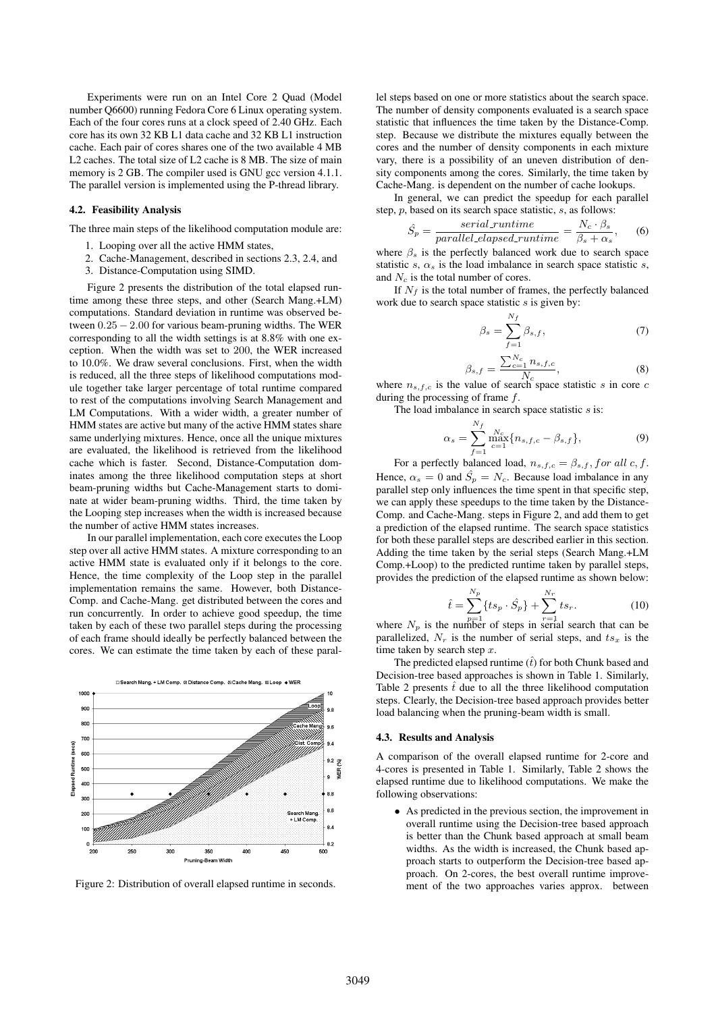Experiments were run on an Intel Core 2 Quad (Model number Q6600) running Fedora Core 6 Linux operating system. Each of the four cores runs at a clock speed of 2.40 GHz. Each core has its own 32 KB L1 data cache and 32 KB L1 instruction cache. Each pair of cores shares one of the two available 4 MB L2 caches. The total size of L2 cache is 8 MB. The size of main memory is 2 GB. The compiler used is GNU gcc version 4.1.1. The parallel version is implemented using the P-thread library.

#### 4.2. Feasibility Analysis

The three main steps of the likelihood computation module are:

- 1. Looping over all the active HMM states,
- 2. Cache-Management, described in sections 2.3, 2.4, and
- 3. Distance-Computation using SIMD.

Figure 2 presents the distribution of the total elapsed runtime among these three steps, and other (Search Mang.+LM) computations. Standard deviation in runtime was observed between  $0.25 - 2.00$  for various beam-pruning widths. The WER corresponding to all the width settings is at 8.8% with one exception. When the width was set to 200, the WER increased to 10.0%. We draw several conclusions. First, when the width is reduced, all the three steps of likelihood computations module together take larger percentage of total runtime compared to rest of the computations involving Search Management and LM Computations. With a wider width, a greater number of HMM states are active but many of the active HMM states share same underlying mixtures. Hence, once all the unique mixtures are evaluated, the likelihood is retrieved from the likelihood cache which is faster. Second, Distance-Computation dominates among the three likelihood computation steps at short beam-pruning widths but Cache-Management starts to dominate at wider beam-pruning widths. Third, the time taken by the Looping step increases when the width is increased because the number of active HMM states increases.

In our parallel implementation, each core executes the Loop step over all active HMM states. A mixture corresponding to an active HMM state is evaluated only if it belongs to the core. Hence, the time complexity of the Loop step in the parallel implementation remains the same. However, both Distance-Comp. and Cache-Mang. get distributed between the cores and run concurrently. In order to achieve good speedup, the time taken by each of these two parallel steps during the processing of each frame should ideally be perfectly balanced between the cores. We can estimate the time taken by each of these paral-



Figure 2: Distribution of overall elapsed runtime in seconds.

lel steps based on one or more statistics about the search space. The number of density components evaluated is a search space statistic that influences the time taken by the Distance-Comp. step. Because we distribute the mixtures equally between the cores and the number of density components in each mixture vary, there is a possibility of an uneven distribution of density components among the cores. Similarly, the time taken by Cache-Mang. is dependent on the number of cache lookups.

In general, we can predict the speedup for each parallel step, p, based on its search space statistic, s, as follows:

$$
\hat{S}_p = \frac{serial\_runtime}{parallel\_elapse d\_runtime} = \frac{N_c \cdot \beta_s}{\beta_s + \alpha_s},\qquad(6)
$$

where  $\beta_s$  is the perfectly balanced work due to search space statistic s,  $\alpha_s$  is the load imbalance in search space statistic s, and  $N_c$  is the total number of cores.

If  $N_f$  is the total number of frames, the perfectly balanced work due to search space statistic  $s$  is given by:

$$
\beta_s = \sum_{f=1}^{N_f} \beta_{s,f},\tag{7}
$$

$$
\beta_{s,f} = \frac{\sum_{c=1}^{N_c} n_{s,f,c}}{N_c},\tag{8}
$$

where  $n_{s,f,c}$  is the value of search space statistic s in core contrary during the processing of frame  $f$ .

The load imbalance in search space statistic  $s$  is:

$$
\alpha_s = \sum_{f=1}^{N_f} \max_{c=1}^{N_c} \{ n_{s,f,c} - \beta_{s,f} \},
$$
\n(9)

For a perfectly balanced load,  $n_{s,f,c} = \beta_{s,f}$ , for all c, f. Hence,  $\alpha_s = 0$  and  $\hat{S}_p = N_c$ . Because load imbalance in any parallel step only influences the time spent in that specific step, we can apply these speedups to the time taken by the Distance-Comp. and Cache-Mang. steps in Figure 2, and add them to get a prediction of the elapsed runtime. The search space statistics for both these parallel steps are described earlier in this section. Adding the time taken by the serial steps (Search Mang.+LM Comp.+Loop) to the predicted runtime taken by parallel steps, provides the prediction of the elapsed runtime as shown below:

$$
\hat{t} = \sum_{n=1}^{N_p} \{ts_p \cdot \hat{S}_p\} + \sum_{r=1}^{N_r} ts_r.
$$
 (10)

where  $N_p$  is the number of steps in serial search that can be parallelized,  $N_r$  is the number of serial steps, and  $ts_x$  is the time taken by search step  $x$ .

The predicted elapsed runtime  $(\hat{t})$  for both Chunk based and Decision-tree based approaches is shown in Table 1. Similarly, Table 2 presents  $\hat{t}$  due to all the three likelihood computation steps. Clearly, the Decision-tree based approach provides better load balancing when the pruning-beam width is small.

#### 4.3. Results and Analysis

A comparison of the overall elapsed runtime for 2-core and 4-cores is presented in Table 1. Similarly, Table 2 shows the elapsed runtime due to likelihood computations. We make the following observations:

• As predicted in the previous section, the improvement in overall runtime using the Decision-tree based approach is better than the Chunk based approach at small beam widths. As the width is increased, the Chunk based approach starts to outperform the Decision-tree based approach. On 2-cores, the best overall runtime improvement of the two approaches varies approx. between